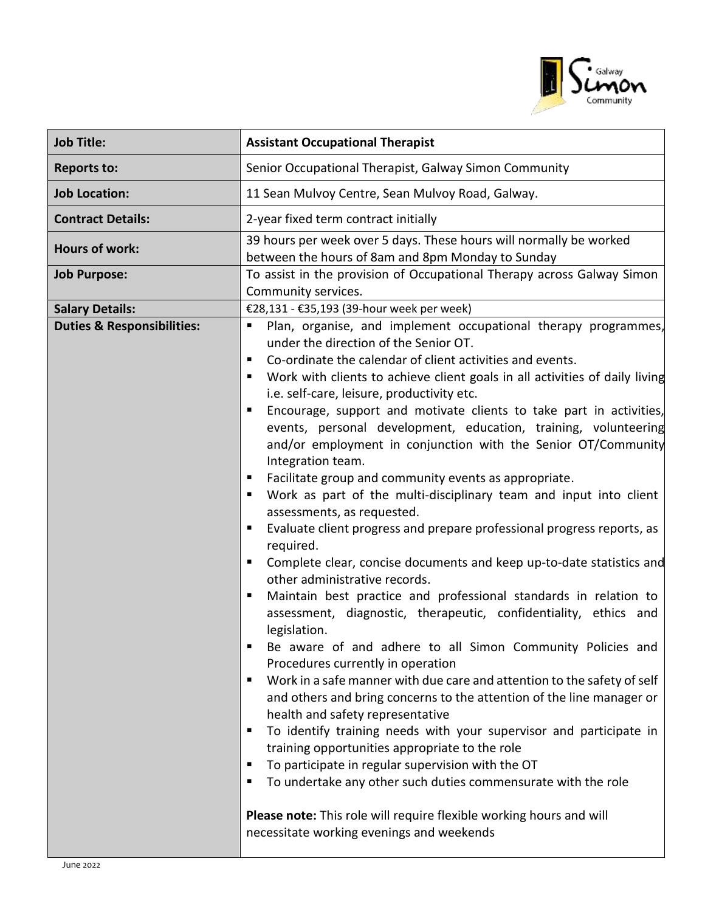

| <b>Job Title:</b>                                               | <b>Assistant Occupational Therapist</b>                                                                                                                                                                                                                                                                                                                                                                                                                                                                                                                                                                                                                                                                                                                                                                                                                                                                                                                                                                                                                                                                                                                                                                                                                                                                                                                                                                                                                                                                                                                                                                                                                                                                                                                                                                                     |
|-----------------------------------------------------------------|-----------------------------------------------------------------------------------------------------------------------------------------------------------------------------------------------------------------------------------------------------------------------------------------------------------------------------------------------------------------------------------------------------------------------------------------------------------------------------------------------------------------------------------------------------------------------------------------------------------------------------------------------------------------------------------------------------------------------------------------------------------------------------------------------------------------------------------------------------------------------------------------------------------------------------------------------------------------------------------------------------------------------------------------------------------------------------------------------------------------------------------------------------------------------------------------------------------------------------------------------------------------------------------------------------------------------------------------------------------------------------------------------------------------------------------------------------------------------------------------------------------------------------------------------------------------------------------------------------------------------------------------------------------------------------------------------------------------------------------------------------------------------------------------------------------------------------|
| <b>Reports to:</b>                                              | Senior Occupational Therapist, Galway Simon Community                                                                                                                                                                                                                                                                                                                                                                                                                                                                                                                                                                                                                                                                                                                                                                                                                                                                                                                                                                                                                                                                                                                                                                                                                                                                                                                                                                                                                                                                                                                                                                                                                                                                                                                                                                       |
| <b>Job Location:</b>                                            | 11 Sean Mulvoy Centre, Sean Mulvoy Road, Galway.                                                                                                                                                                                                                                                                                                                                                                                                                                                                                                                                                                                                                                                                                                                                                                                                                                                                                                                                                                                                                                                                                                                                                                                                                                                                                                                                                                                                                                                                                                                                                                                                                                                                                                                                                                            |
| <b>Contract Details:</b>                                        | 2-year fixed term contract initially                                                                                                                                                                                                                                                                                                                                                                                                                                                                                                                                                                                                                                                                                                                                                                                                                                                                                                                                                                                                                                                                                                                                                                                                                                                                                                                                                                                                                                                                                                                                                                                                                                                                                                                                                                                        |
| <b>Hours of work:</b>                                           | 39 hours per week over 5 days. These hours will normally be worked<br>between the hours of 8am and 8pm Monday to Sunday                                                                                                                                                                                                                                                                                                                                                                                                                                                                                                                                                                                                                                                                                                                                                                                                                                                                                                                                                                                                                                                                                                                                                                                                                                                                                                                                                                                                                                                                                                                                                                                                                                                                                                     |
| <b>Job Purpose:</b>                                             | To assist in the provision of Occupational Therapy across Galway Simon                                                                                                                                                                                                                                                                                                                                                                                                                                                                                                                                                                                                                                                                                                                                                                                                                                                                                                                                                                                                                                                                                                                                                                                                                                                                                                                                                                                                                                                                                                                                                                                                                                                                                                                                                      |
|                                                                 | Community services.                                                                                                                                                                                                                                                                                                                                                                                                                                                                                                                                                                                                                                                                                                                                                                                                                                                                                                                                                                                                                                                                                                                                                                                                                                                                                                                                                                                                                                                                                                                                                                                                                                                                                                                                                                                                         |
| <b>Salary Details:</b><br><b>Duties &amp; Responsibilities:</b> | €28,131 - €35,193 (39-hour week per week)<br>Plan, organise, and implement occupational therapy programmes,<br>п<br>under the direction of the Senior OT.<br>Co-ordinate the calendar of client activities and events.<br>п<br>Work with clients to achieve client goals in all activities of daily living<br>i.e. self-care, leisure, productivity etc.<br>Encourage, support and motivate clients to take part in activities,<br>п<br>events, personal development, education, training, volunteering<br>and/or employment in conjunction with the Senior OT/Community<br>Integration team.<br>Facilitate group and community events as appropriate.<br>п<br>Work as part of the multi-disciplinary team and input into client<br>п<br>assessments, as requested.<br>Evaluate client progress and prepare professional progress reports, as<br>п<br>required.<br>Complete clear, concise documents and keep up-to-date statistics and<br>п<br>other administrative records.<br>Maintain best practice and professional standards in relation to<br>п<br>assessment, diagnostic, therapeutic, confidentiality, ethics and<br>legislation.<br>Be aware of and adhere to all Simon Community Policies and<br>Procedures currently in operation<br>Work in a safe manner with due care and attention to the safety of self<br>п<br>and others and bring concerns to the attention of the line manager or<br>health and safety representative<br>To identify training needs with your supervisor and participate in<br>п<br>training opportunities appropriate to the role<br>To participate in regular supervision with the OT<br>п<br>To undertake any other such duties commensurate with the role<br>п<br>Please note: This role will require flexible working hours and will<br>necessitate working evenings and weekends |